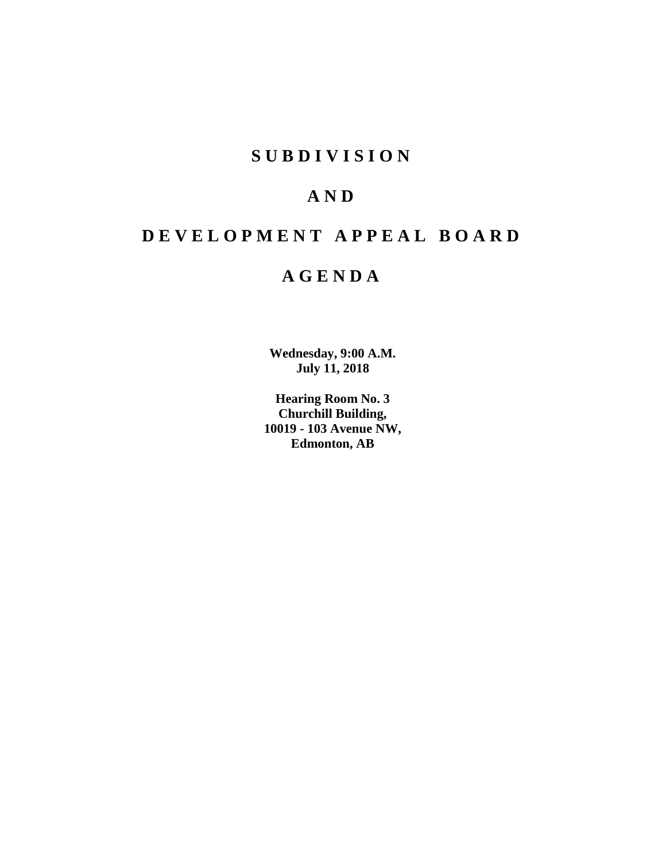# **SUBDIVISION**

# **AND**

# **DEVELOPMENT APPEAL BOARD**

# **AGENDA**

**Wednesday, 9:00 A.M. July 11, 2018**

**Hearing Room No. 3 Churchill Building, 10019 - 103 Avenue NW, Edmonton, AB**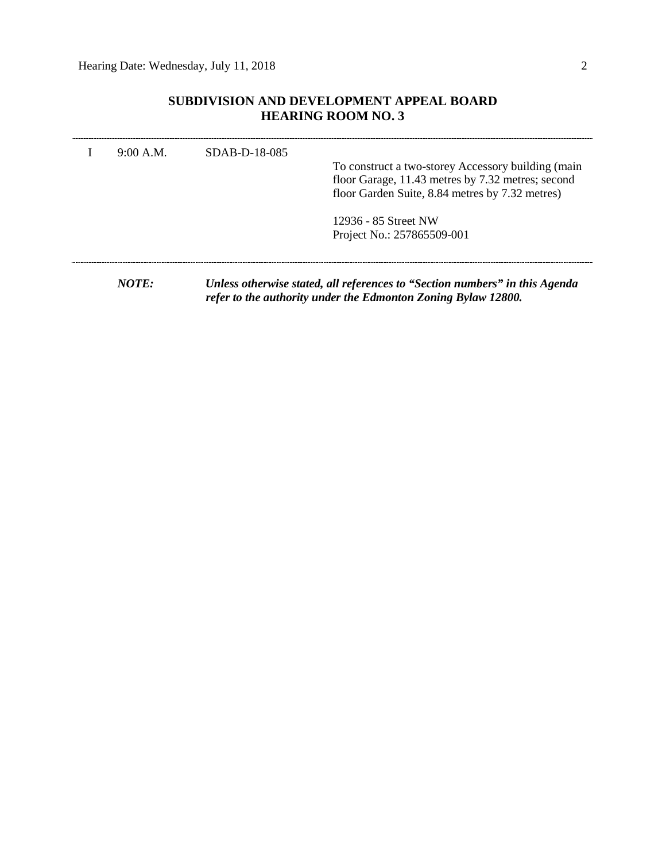# **SUBDIVISION AND DEVELOPMENT APPEAL BOARD HEARING ROOM NO. 3**

| 9:00 A.M. | SDAB-D-18-085 | To construct a two-storey Accessory building (main<br>floor Garage, 11.43 metres by 7.32 metres; second<br>floor Garden Suite, 8.84 metres by 7.32 metres) |
|-----------|---------------|------------------------------------------------------------------------------------------------------------------------------------------------------------|
|           |               | 12936 - 85 Street NW<br>Project No.: 257865509-001                                                                                                         |
| NOTE:     |               | Unless otherwise stated, all references to "Section numbers" in this Agenda<br>refer to the authority under the Edmonton Zoning Bylaw 12800.               |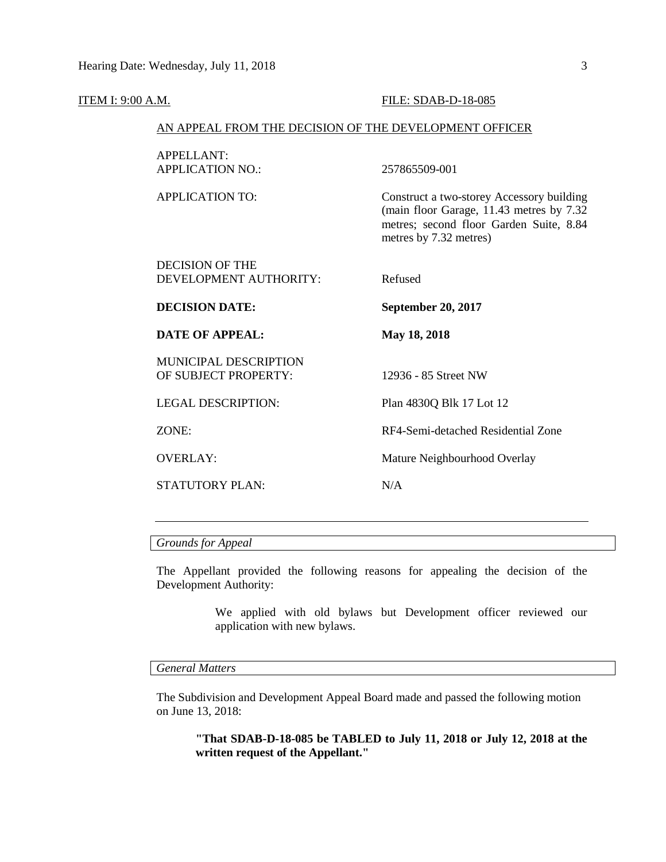#### **ITEM I:** 9:00 A.M. **FILE: SDAB-D-18-085**

#### AN APPEAL FROM THE DECISION OF THE DEVELOPMENT OFFICER

| APPELLANT:<br><b>APPLICATION NO.:</b>         | 257865509-001                                                                                                                                               |
|-----------------------------------------------|-------------------------------------------------------------------------------------------------------------------------------------------------------------|
| APPLICATION TO:                               | Construct a two-storey Accessory building<br>(main floor Garage, 11.43 metres by 7.32)<br>metres; second floor Garden Suite, 8.84<br>metres by 7.32 metres) |
| DECISION OF THE                               |                                                                                                                                                             |
| DEVELOPMENT AUTHORITY:                        | Refused                                                                                                                                                     |
| <b>DECISION DATE:</b>                         | September 20, 2017                                                                                                                                          |
|                                               |                                                                                                                                                             |
| DATE OF APPEAL:                               | May 18, 2018                                                                                                                                                |
| MUNICIPAL DESCRIPTION<br>OF SUBJECT PROPERTY: | 12936 - 85 Street NW                                                                                                                                        |
| <b>LEGAL DESCRIPTION:</b>                     | Plan 4830Q Blk 17 Lot 12                                                                                                                                    |
| ZONE:                                         | RF4-Semi-detached Residential Zone                                                                                                                          |
| OVERLAY:                                      | Mature Neighbourhood Overlay                                                                                                                                |
| <b>STATUTORY PLAN:</b>                        | N/A                                                                                                                                                         |

#### *Grounds for Appeal*

The Appellant provided the following reasons for appealing the decision of the Development Authority:

> We applied with old bylaws but Development officer reviewed our application with new bylaws.

### *General Matters*

The Subdivision and Development Appeal Board made and passed the following motion on June 13, 2018:

**"That SDAB-D-18-085 be TABLED to July 11, 2018 or July 12, 2018 at the written request of the Appellant."**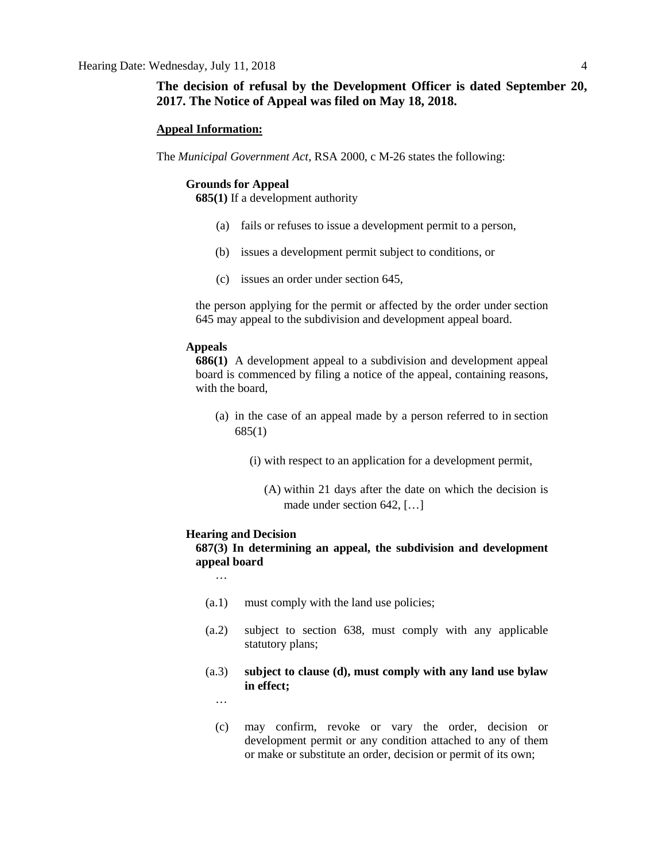## **The decision of refusal by the Development Officer is dated September 20, 2017. The Notice of Appeal was filed on May 18, 2018.**

#### **Appeal Information:**

The *Municipal Government Act*, RSA 2000, c M-26 states the following:

#### **Grounds for Appeal**

**685(1)** If a development authority

- (a) fails or refuses to issue a development permit to a person,
- (b) issues a development permit subject to conditions, or
- (c) issues an order under section 645,

the person applying for the permit or affected by the order under section 645 may appeal to the subdivision and development appeal board.

#### **Appeals**

**686(1)** A development appeal to a subdivision and development appeal board is commenced by filing a notice of the appeal, containing reasons, with the board,

- (a) in the case of an appeal made by a person referred to in section 685(1)
	- (i) with respect to an application for a development permit,
		- (A) within 21 days after the date on which the decision is made under section 642, […]

#### **Hearing and Decision**

# **687(3) In determining an appeal, the subdivision and development appeal board**

…

- (a.1) must comply with the land use policies;
- (a.2) subject to section 638, must comply with any applicable statutory plans;
- (a.3) **subject to clause (d), must comply with any land use bylaw in effect;**

…

(c) may confirm, revoke or vary the order, decision or development permit or any condition attached to any of them or make or substitute an order, decision or permit of its own;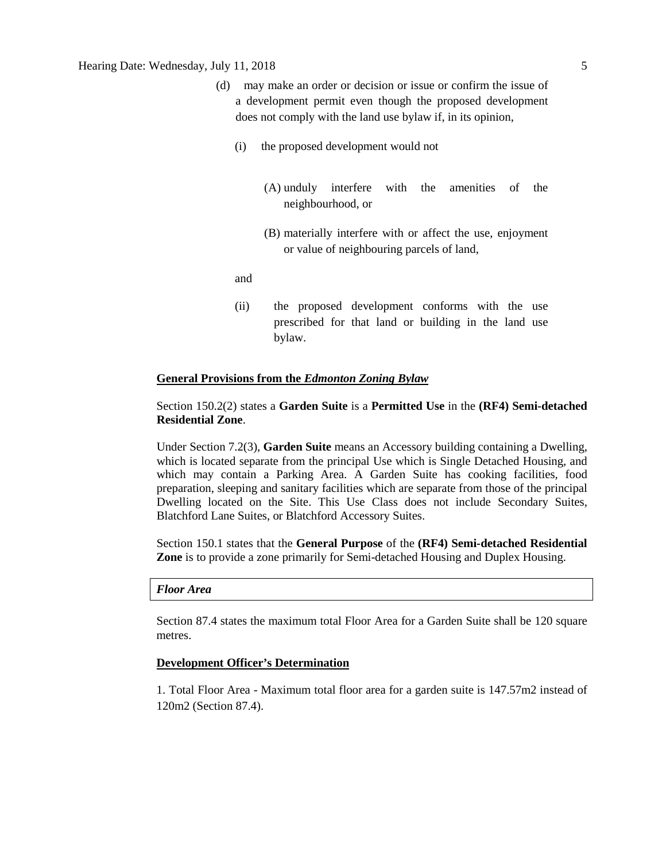## Hearing Date: Wednesday, July 11, 2018 5

- (d) may make an order or decision or issue or confirm the issue of a development permit even though the proposed development does not comply with the land use bylaw if, in its opinion,
	- (i) the proposed development would not
		- (A) unduly interfere with the amenities of the neighbourhood, or
		- (B) materially interfere with or affect the use, enjoyment or value of neighbouring parcels of land,

and

(ii) the proposed development conforms with the use prescribed for that land or building in the land use bylaw.

#### **General Provisions from the** *Edmonton Zoning Bylaw*

## Section 150.2(2) states a **Garden Suite** is a **Permitted Use** in the **(RF4) Semi-detached Residential Zone**.

Under Section 7.2(3), **Garden Suite** means an Accessory building containing a Dwelling, which is located separate from the principal Use which is Single Detached Housing, and which may contain a Parking Area. A Garden Suite has cooking facilities, food preparation, sleeping and sanitary facilities which are separate from those of the principal Dwelling located on the Site. This Use Class does not include Secondary Suites, Blatchford Lane Suites, or Blatchford Accessory Suites.

Section 150.1 states that the **General Purpose** of the **(RF4) Semi-detached Residential Zone** is to provide a zone primarily for Semi-detached Housing and Duplex Housing.

#### *Floor Area*

Section 87.4 states the maximum total Floor Area for a Garden Suite shall be 120 square metres.

#### **Development Officer's Determination**

1. Total Floor Area - Maximum total floor area for a garden suite is 147.57m2 instead of 120m2 (Section 87.4).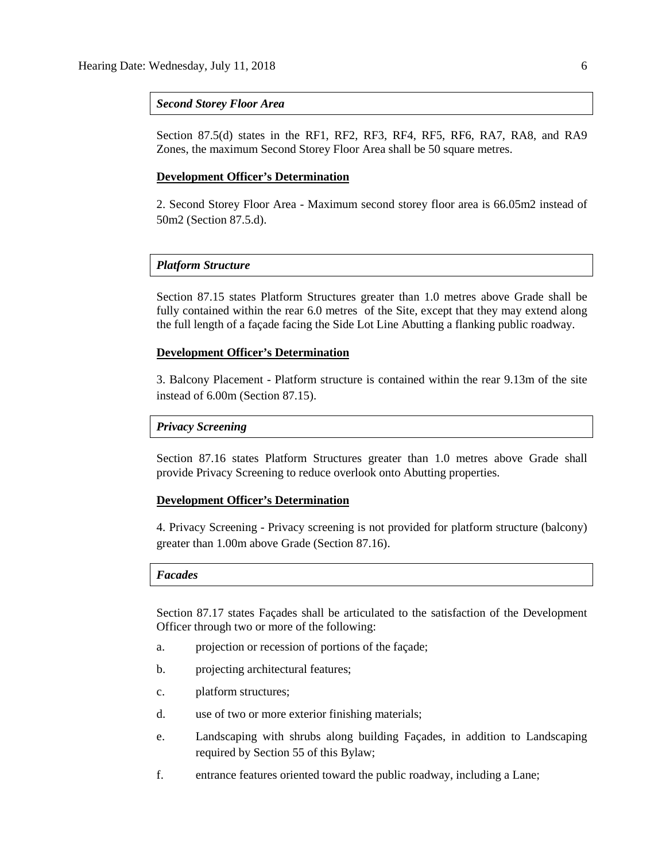#### *Second Storey Floor Area*

Section 87.5(d) states in the RF1, RF2, RF3, RF4, RF5, RF6, RA7, RA8, and RA9 Zones, the maximum Second Storey Floor Area shall be 50 square metres.

#### **Development Officer's Determination**

2. Second Storey Floor Area - Maximum second storey floor area is 66.05m2 instead of 50m2 (Section 87.5.d).

#### *Platform Structure*

Section 87.15 states Platform Structures greater than 1.0 metres above Grade shall be fully contained within the rear 6.0 metres of the Site, except that they may extend along the full length of a façade facing the Side Lot Line Abutting a flanking public roadway.

#### **Development Officer's Determination**

3. Balcony Placement - Platform structure is contained within the rear 9.13m of the site instead of 6.00m (Section 87.15).

#### *Privacy Screening*

Section 87.16 states Platform Structures greater than 1.0 metres above Grade shall provide Privacy Screening to reduce overlook onto Abutting properties.

#### **Development Officer's Determination**

4. Privacy Screening - Privacy screening is not provided for platform structure (balcony) greater than 1.00m above Grade (Section 87.16).

#### *Facades*

Section 87.17 states Façades shall be articulated to the satisfaction of the Development Officer through two or more of the following:

- a. projection or recession of portions of the façade;
- b. projecting architectural features;
- c. platform structures;
- d. use of two or more exterior finishing materials;
- e. Landscaping with shrubs along building Façades, in addition to Landscaping required by Section 55 of this Bylaw;
- f. entrance features oriented toward the public roadway, including a Lane;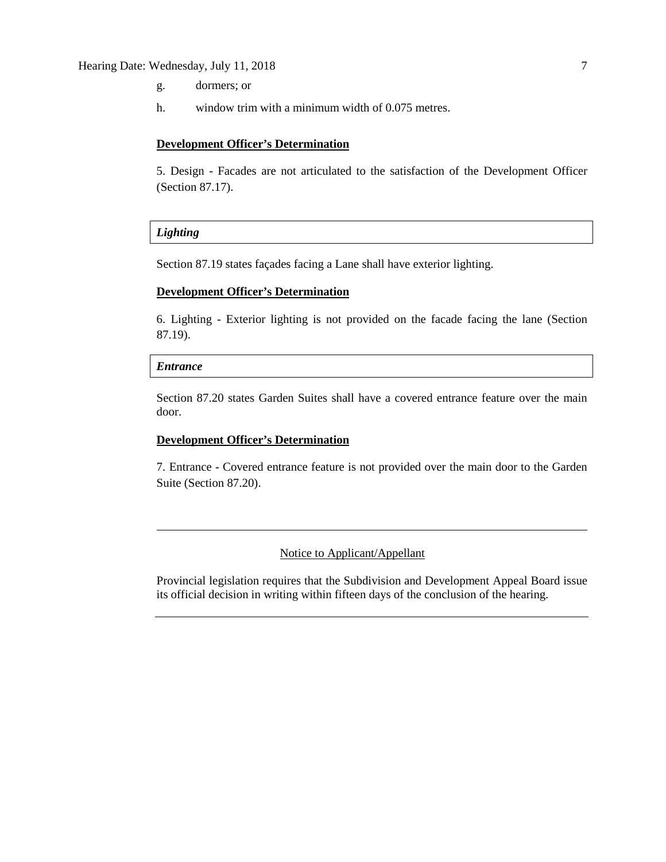## Hearing Date: Wednesday, July 11, 2018 7

- g. dormers; or
- h. window trim with a minimum width of 0.075 metres.

#### **Development Officer's Determination**

5. Design - Facades are not articulated to the satisfaction of the Development Officer (Section 87.17).

## *Lighting*

Section 87.19 states façades facing a Lane shall have exterior lighting.

#### **Development Officer's Determination**

6. Lighting - Exterior lighting is not provided on the facade facing the lane (Section 87.19).

#### *Entrance*

Section 87.20 states Garden Suites shall have a covered entrance feature over the main door.

### **Development Officer's Determination**

7. Entrance - Covered entrance feature is not provided over the main door to the Garden Suite (Section 87.20).

# Notice to Applicant/Appellant

Provincial legislation requires that the Subdivision and Development Appeal Board issue its official decision in writing within fifteen days of the conclusion of the hearing.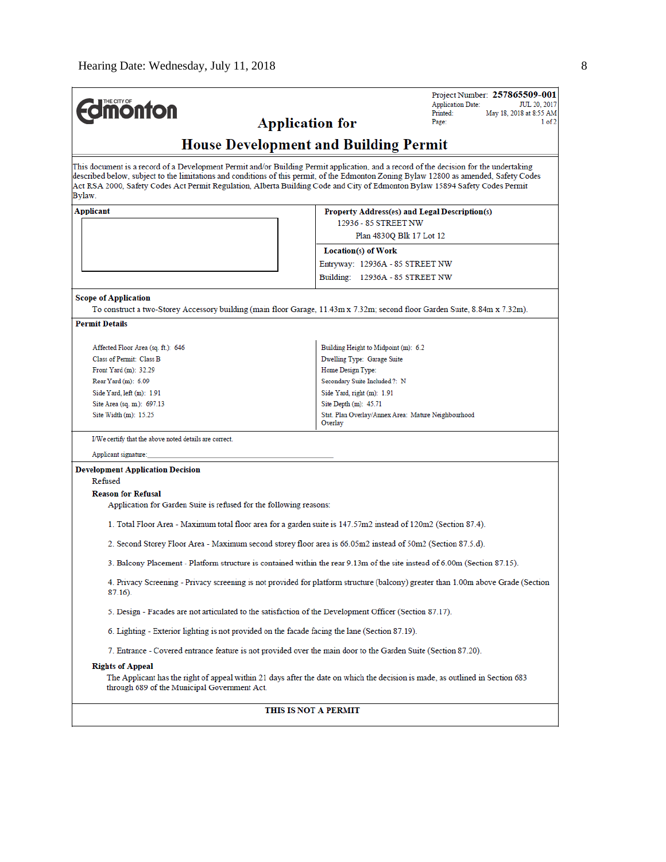| <b>dmonton</b>                                                                                          | Project Number: 257865509-001<br><b>Application Date:</b><br><b>JUL 20, 2017</b><br>Printed:<br>May 18, 2018 at 8:55 AM<br><b>Application for</b><br>1 of 2<br>Page:                                                                                                                                                                                                                                             |  |  |  |  |  |  |
|---------------------------------------------------------------------------------------------------------|------------------------------------------------------------------------------------------------------------------------------------------------------------------------------------------------------------------------------------------------------------------------------------------------------------------------------------------------------------------------------------------------------------------|--|--|--|--|--|--|
|                                                                                                         | <b>House Development and Building Permit</b>                                                                                                                                                                                                                                                                                                                                                                     |  |  |  |  |  |  |
| Bylaw.                                                                                                  | This document is a record of a Development Permit and/or Building Permit application, and a record of the decision for the undertaking<br>described below, subject to the limitations and conditions of this permit, of the Edmonton Zoning Bylaw 12800 as amended, Safety Codes<br>Act RSA 2000, Safety Codes Act Permit Regulation, Alberta Building Code and City of Edmonton Bylaw 15894 Safety Codes Permit |  |  |  |  |  |  |
| Applicant                                                                                               | Property Address(es) and Legal Description(s)                                                                                                                                                                                                                                                                                                                                                                    |  |  |  |  |  |  |
|                                                                                                         | 12936 - 85 STREET NW                                                                                                                                                                                                                                                                                                                                                                                             |  |  |  |  |  |  |
|                                                                                                         | Plan 4830Q Blk 17 Lot 12                                                                                                                                                                                                                                                                                                                                                                                         |  |  |  |  |  |  |
|                                                                                                         | Location(s) of Work                                                                                                                                                                                                                                                                                                                                                                                              |  |  |  |  |  |  |
|                                                                                                         | Entryway: 12936A - 85 STREET NW                                                                                                                                                                                                                                                                                                                                                                                  |  |  |  |  |  |  |
|                                                                                                         | Building: 12936A - 85 STREET NW                                                                                                                                                                                                                                                                                                                                                                                  |  |  |  |  |  |  |
|                                                                                                         |                                                                                                                                                                                                                                                                                                                                                                                                                  |  |  |  |  |  |  |
| <b>Scope of Application</b>                                                                             | To construct a two-Storey Accessory building (main floor Garage, 11.43m x 7.32m; second floor Garden Suite, 8.84m x 7.32m).                                                                                                                                                                                                                                                                                      |  |  |  |  |  |  |
| <b>Permit Details</b>                                                                                   |                                                                                                                                                                                                                                                                                                                                                                                                                  |  |  |  |  |  |  |
|                                                                                                         |                                                                                                                                                                                                                                                                                                                                                                                                                  |  |  |  |  |  |  |
| Affected Floor Area (sq. ft.): 646                                                                      | Building Height to Midpoint (m): 6.2                                                                                                                                                                                                                                                                                                                                                                             |  |  |  |  |  |  |
| Class of Permit: Class B                                                                                | Dwelling Type: Garage Suite                                                                                                                                                                                                                                                                                                                                                                                      |  |  |  |  |  |  |
| Front Yard (m): 32.29<br>Rear Yard (m): 6.09                                                            | Home Design Type:                                                                                                                                                                                                                                                                                                                                                                                                |  |  |  |  |  |  |
|                                                                                                         | Secondary Suite Included ?: N                                                                                                                                                                                                                                                                                                                                                                                    |  |  |  |  |  |  |
| Side Yard, left (m): 1.91                                                                               | Side Yard, right (m): 1.91                                                                                                                                                                                                                                                                                                                                                                                       |  |  |  |  |  |  |
| Site Area (sq. m.): 697.13<br>Site Width (m): 15.25                                                     | Site Depth (m): 45.71<br>Stat. Plan Overlay/Annex Area: Mature Neighbourhood                                                                                                                                                                                                                                                                                                                                     |  |  |  |  |  |  |
|                                                                                                         | Overlay                                                                                                                                                                                                                                                                                                                                                                                                          |  |  |  |  |  |  |
| I/We certify that the above noted details are correct.                                                  |                                                                                                                                                                                                                                                                                                                                                                                                                  |  |  |  |  |  |  |
| Applicant signature:                                                                                    |                                                                                                                                                                                                                                                                                                                                                                                                                  |  |  |  |  |  |  |
| <b>Development Application Decision</b>                                                                 |                                                                                                                                                                                                                                                                                                                                                                                                                  |  |  |  |  |  |  |
| Refused                                                                                                 |                                                                                                                                                                                                                                                                                                                                                                                                                  |  |  |  |  |  |  |
| <b>Reason for Refusal</b>                                                                               |                                                                                                                                                                                                                                                                                                                                                                                                                  |  |  |  |  |  |  |
| Application for Garden Suite is refused for the following reasons:                                      |                                                                                                                                                                                                                                                                                                                                                                                                                  |  |  |  |  |  |  |
|                                                                                                         | 1. Total Floor Area - Maximum total floor area for a garden suite is 147.57m2 instead of 120m2 (Section 87.4).                                                                                                                                                                                                                                                                                                   |  |  |  |  |  |  |
|                                                                                                         | 2. Second Storey Floor Area - Maximum second storey floor area is 66.05m2 instead of 50m2 (Section 87.5.d).                                                                                                                                                                                                                                                                                                      |  |  |  |  |  |  |
|                                                                                                         | 3. Balcony Placement - Platform structure is contained within the rear 9.13m of the site instead of 6.00m (Section 87.15).                                                                                                                                                                                                                                                                                       |  |  |  |  |  |  |
| $87.16$ ).                                                                                              | 4. Privacy Screening - Privacy screening is not provided for platform structure (balcony) greater than 1.00m above Grade (Section                                                                                                                                                                                                                                                                                |  |  |  |  |  |  |
| 5. Design - Facades are not articulated to the satisfaction of the Development Officer (Section 87.17). |                                                                                                                                                                                                                                                                                                                                                                                                                  |  |  |  |  |  |  |
| 6. Lighting - Exterior lighting is not provided on the facade facing the lane (Section 87.19).          |                                                                                                                                                                                                                                                                                                                                                                                                                  |  |  |  |  |  |  |
|                                                                                                         | 7. Entrance - Covered entrance feature is not provided over the main door to the Garden Suite (Section 87.20).                                                                                                                                                                                                                                                                                                   |  |  |  |  |  |  |
| <b>Rights of Appeal</b>                                                                                 |                                                                                                                                                                                                                                                                                                                                                                                                                  |  |  |  |  |  |  |
| through 689 of the Municipal Government Act.                                                            | The Applicant has the right of appeal within 21 days after the date on which the decision is made, as outlined in Section 683                                                                                                                                                                                                                                                                                    |  |  |  |  |  |  |
|                                                                                                         | THIS IS NOT A PERMIT                                                                                                                                                                                                                                                                                                                                                                                             |  |  |  |  |  |  |
|                                                                                                         |                                                                                                                                                                                                                                                                                                                                                                                                                  |  |  |  |  |  |  |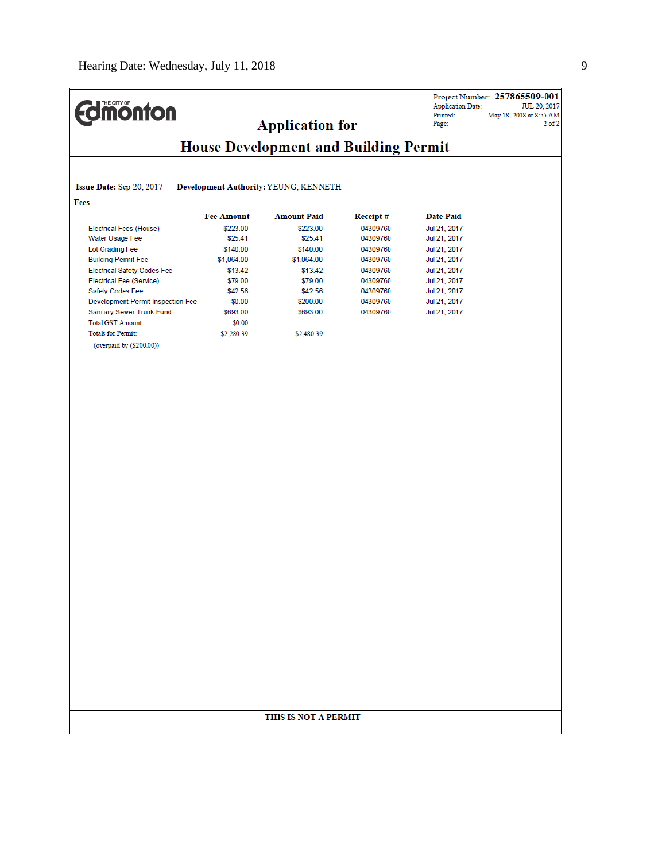**Application for** 

Project Number: 257865509-001 Application Date: TUL 20, 2017<br>Printed: TUL 20, 2017<br>Printed: May 18, 2018 at 8:55 AM<br>Page: 2 of 2

# **House Development and Building Permit**

| Fees                               |                   |                    |                  |                  |
|------------------------------------|-------------------|--------------------|------------------|------------------|
|                                    | <b>Fee Amount</b> | <b>Amount Paid</b> | <b>Receipt</b> # | <b>Date Paid</b> |
| Electrical Fees (House)            | \$223.00          | \$223.00           | 04309760         | Jul 21, 2017     |
| Water Usage Fee                    | \$25.41           | \$25.41            | 04309760         | Jul 21, 2017     |
| Lot Grading Fee                    | \$140.00          | \$140.00           | 04309760         | Jul 21, 2017     |
| <b>Building Permit Fee</b>         | \$1,064.00        | \$1,064.00         | 04309760         | Jul 21, 2017     |
| <b>Electrical Safety Codes Fee</b> | \$13.42           | \$13.42            | 04309760         | Jul 21, 2017     |
| Electrical Fee (Service)           | \$79.00           | \$79.00            | 04309760         | Jul 21, 2017     |
| Safety Codes Fee                   | \$42.56           | \$42.56            | 04309760         | Jul 21, 2017     |
| Development Permit Inspection Fee  | \$0.00            | \$200.00           | 04309760         | Jul 21, 2017     |
| Sanitary Sewer Trunk Fund          | \$693.00          | \$693.00           | 04309760         | Jul 21, 2017     |
| <b>Total GST Amount:</b>           | \$0.00            |                    |                  |                  |
| <b>Totals for Permit:</b>          | \$2,280.39        | \$2,480.39         |                  |                  |
| (overpaid by (\$200.00))           |                   |                    |                  |                  |